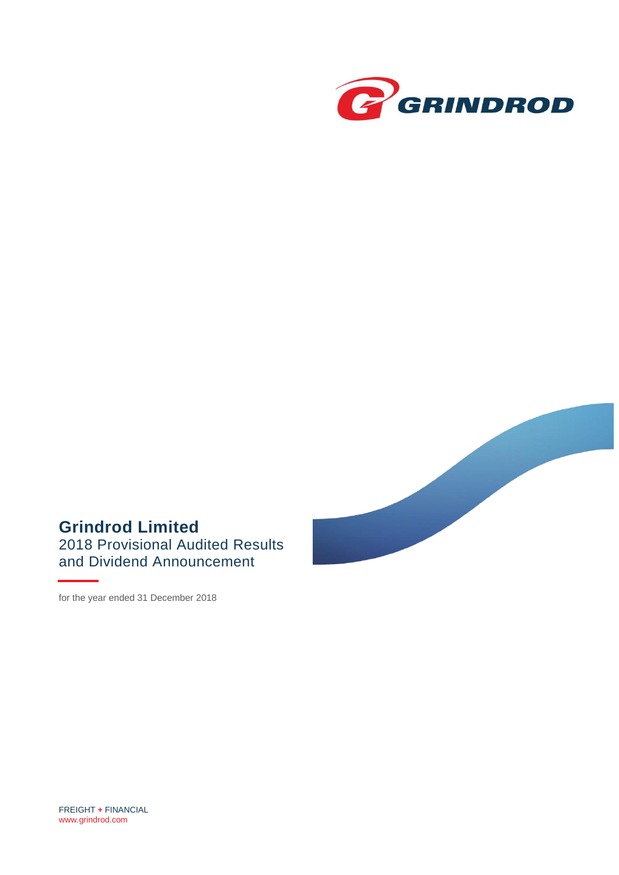



# **Grindrod Limited** 2018 Provisional Audited Results and Dividend Announcement

for the year ended 31 December 2018

FREIGHT **+** FINANCIAL [www.grindrod.com](http://www.grindrod.com/)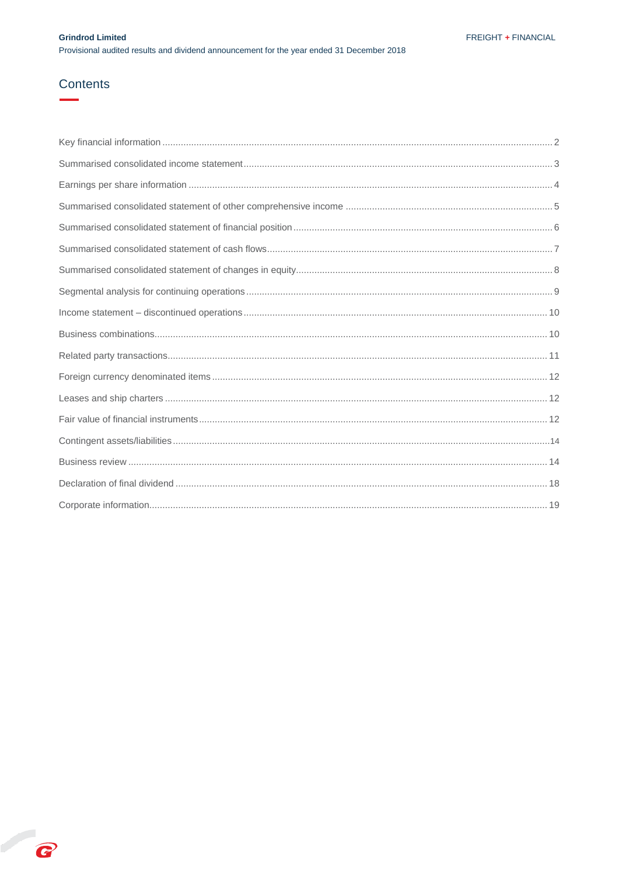## Contents

B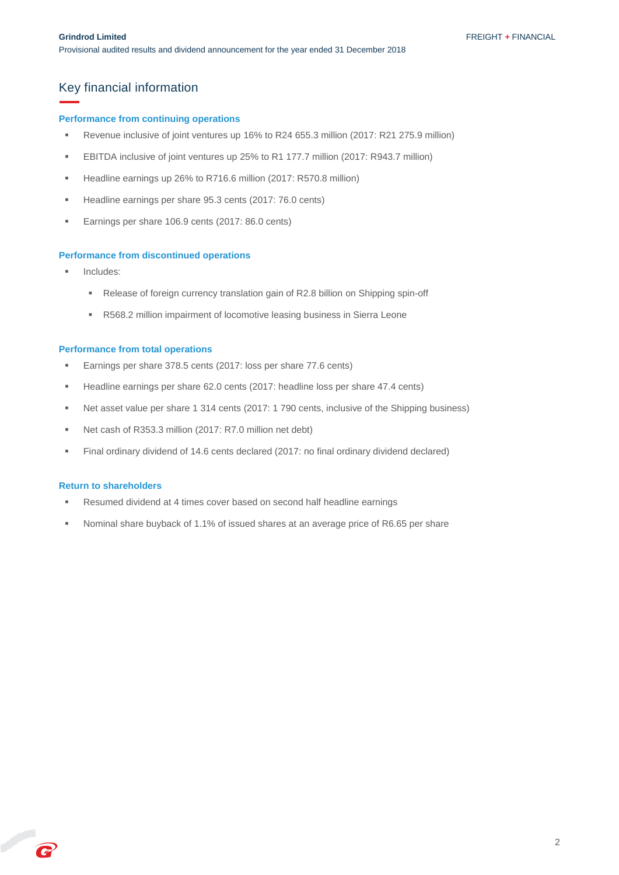### <span id="page-2-0"></span>Key financial information

#### **Performance from continuing operations**

- Revenue inclusive of joint ventures up 16% to R24 655.3 million (2017: R21 275.9 million)
- EBITDA inclusive of joint ventures up 25% to R1 177.7 million (2017: R943.7 million)
- Headline earnings up 26% to R716.6 million (2017: R570.8 million)
- Headline earnings per share 95.3 cents (2017: 76.0 cents)
- Earnings per share 106.9 cents (2017: 86.0 cents)

#### **Performance from discontinued operations**

- Includes:
	- Release of foreign currency translation gain of R2.8 billion on Shipping spin-off
	- R568.2 million impairment of locomotive leasing business in Sierra Leone

#### **Performance from total operations**

- Earnings per share 378.5 cents (2017: loss per share 77.6 cents)
- Headline earnings per share 62.0 cents (2017: headline loss per share 47.4 cents)
- Net asset value per share 1 314 cents (2017: 1 790 cents, inclusive of the Shipping business)
- Net cash of R353.3 million (2017: R7.0 million net debt)
- Final ordinary dividend of 14.6 cents declared (2017: no final ordinary dividend declared)

#### **Return to shareholders**

C

- Resumed dividend at 4 times cover based on second half headline earnings
- Nominal share buyback of 1.1% of issued shares at an average price of R6.65 per share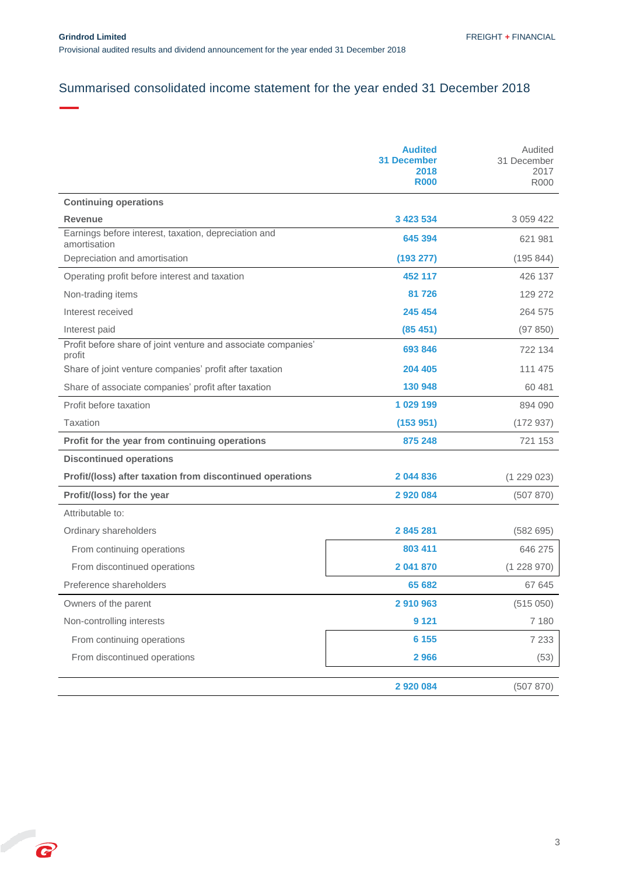P

# <span id="page-3-0"></span>Summarised consolidated income statement for the year ended 31 December 2018

|                                                                         | <b>Audited</b><br><b>31 December</b><br>2018<br><b>R000</b> | Audited<br>31 December<br>2017<br><b>R000</b> |
|-------------------------------------------------------------------------|-------------------------------------------------------------|-----------------------------------------------|
| <b>Continuing operations</b>                                            |                                                             |                                               |
| <b>Revenue</b>                                                          | 3 423 534                                                   | 3 0 5 9 4 2 2                                 |
| Earnings before interest, taxation, depreciation and<br>amortisation    | 645 394                                                     | 621 981                                       |
| Depreciation and amortisation                                           | (193 277)                                                   | (195 844)                                     |
| Operating profit before interest and taxation                           | 452 117                                                     | 426 137                                       |
| Non-trading items                                                       | 81 726                                                      | 129 272                                       |
| Interest received                                                       | 245 454                                                     | 264 575                                       |
| Interest paid                                                           | (85, 451)                                                   | (97 850)                                      |
| Profit before share of joint venture and associate companies'<br>profit | 693 846                                                     | 722 134                                       |
| Share of joint venture companies' profit after taxation                 | 204 405                                                     | 111 475                                       |
| Share of associate companies' profit after taxation                     | 130 948                                                     | 60 481                                        |
| Profit before taxation                                                  | 1 029 199                                                   | 894 090                                       |
| Taxation                                                                | (153951)                                                    | (172937)                                      |
| Profit for the year from continuing operations                          | 875 248                                                     | 721 153                                       |
| <b>Discontinued operations</b>                                          |                                                             |                                               |
| Profit/(loss) after taxation from discontinued operations               | 2044836                                                     | (1 229 023)                                   |
| Profit/(loss) for the year                                              | 2 9 2 0 0 8 4                                               | (507 870)                                     |
| Attributable to:                                                        |                                                             |                                               |
| Ordinary shareholders                                                   | 2845281                                                     | (582695)                                      |
| From continuing operations                                              | 803 411                                                     | 646 275                                       |
| From discontinued operations                                            | 2 041 870                                                   | (1228970)                                     |
| Preference shareholders                                                 | 65 682                                                      | 67 645                                        |
| Owners of the parent                                                    | 2910963                                                     | (515050)                                      |
| Non-controlling interests                                               | 9 1 2 1                                                     | 7 180                                         |
| From continuing operations                                              | 6 1 5 5                                                     | 7 2 3 3                                       |
| From discontinued operations                                            | 2966                                                        | (53)                                          |
|                                                                         | 2 9 2 0 0 8 4                                               | (507 870)                                     |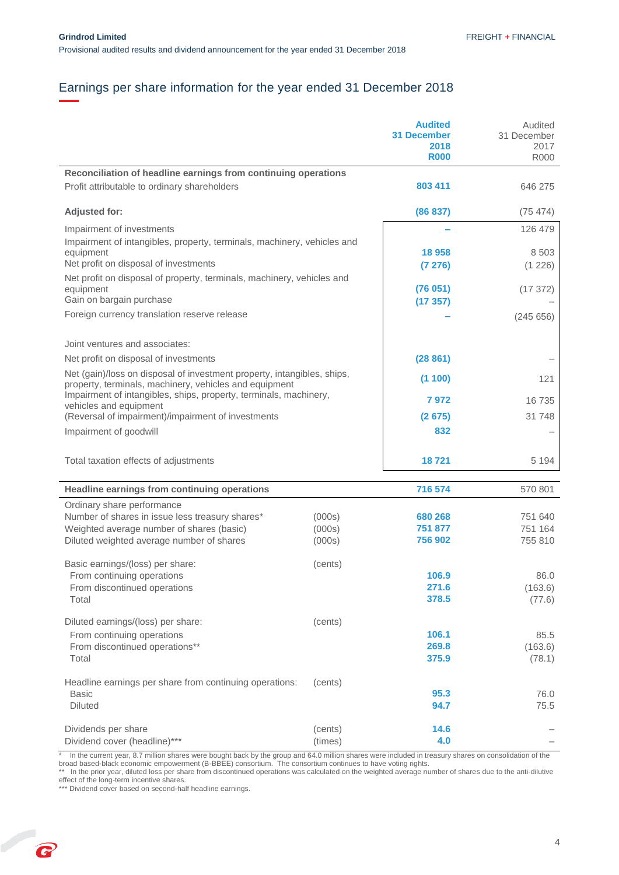# <span id="page-4-0"></span>Earnings per share information for the year ended 31 December 2018

|                                                                                                                                   |                  | <b>Audited</b><br><b>31 December</b><br>2018<br><b>R000</b> | Audited<br>31 December<br>2017<br><b>R000</b> |
|-----------------------------------------------------------------------------------------------------------------------------------|------------------|-------------------------------------------------------------|-----------------------------------------------|
| Reconciliation of headline earnings from continuing operations<br>Profit attributable to ordinary shareholders                    |                  | 803 411                                                     | 646 275                                       |
| <b>Adjusted for:</b>                                                                                                              |                  | (86 837)                                                    | (75, 474)                                     |
| Impairment of investments<br>Impairment of intangibles, property, terminals, machinery, vehicles and                              |                  |                                                             | 126 479                                       |
| equipment<br>Net profit on disposal of investments                                                                                |                  | 18 958<br>(7276)                                            | 8 5 0 3<br>(1 226)                            |
| Net profit on disposal of property, terminals, machinery, vehicles and<br>equipment                                               |                  | (76051)                                                     | (17372)                                       |
| Gain on bargain purchase                                                                                                          |                  | (17357)                                                     |                                               |
| Foreign currency translation reserve release                                                                                      |                  |                                                             | (245656)                                      |
| Joint ventures and associates:                                                                                                    |                  |                                                             |                                               |
| Net profit on disposal of investments                                                                                             |                  | (28861)                                                     |                                               |
| Net (gain)/loss on disposal of investment property, intangibles, ships,<br>property, terminals, machinery, vehicles and equipment |                  | (1100)                                                      | 121                                           |
| Impairment of intangibles, ships, property, terminals, machinery,<br>vehicles and equipment                                       |                  | 7972                                                        | 16 735                                        |
| (Reversal of impairment)/impairment of investments                                                                                |                  | (2675)                                                      | 31 748                                        |
| Impairment of goodwill                                                                                                            |                  | 832                                                         |                                               |
| Total taxation effects of adjustments                                                                                             |                  | 18721                                                       | 5 1 9 4                                       |
| Headline earnings from continuing operations                                                                                      |                  | 716 574                                                     | 570 801                                       |
| Ordinary share performance<br>Number of shares in issue less treasury shares*                                                     |                  | 680 268                                                     | 751 640                                       |
| Weighted average number of shares (basic)                                                                                         | (000s)<br>(000s) | 751 877                                                     | 751 164                                       |
| Diluted weighted average number of shares                                                                                         | (000s)           | 756 902                                                     | 755 810                                       |
| Basic earnings/(loss) per share:                                                                                                  | (cents)          |                                                             |                                               |
| From continuing operations                                                                                                        |                  | 106.9                                                       | 86.0                                          |
| From discontinued operations<br>Total                                                                                             |                  | 271.6<br>378.5                                              | (163.6)<br>(77.6)                             |
| Diluted earnings/(loss) per share:                                                                                                | (cents)          |                                                             |                                               |
| From continuing operations<br>From discontinued operations**                                                                      |                  | 106.1<br>269.8                                              | 85.5                                          |
| Total                                                                                                                             |                  | 375.9                                                       | (163.6)<br>(78.1)                             |
| Headline earnings per share from continuing operations:                                                                           | (cents)          |                                                             |                                               |
| <b>Basic</b><br><b>Diluted</b>                                                                                                    |                  | 95.3<br>94.7                                                | 76.0<br>75.5                                  |
| Dividends per share                                                                                                               | (cents)          | 14.6                                                        |                                               |
| Dividend cover (headline)***                                                                                                      | (times)          | 4.0                                                         |                                               |

\* In the current year, 8.7 million shares were bought back by the group and 64.0 million shares were included in treasury shares on consolidation of the broad based-black economic empowerment (B-BBEE) consortium. The consortium continues to have voting rights.

\*\* In the prior year, diluted loss per share from discontinued operations was calculated on the weighted average number of shares due to the anti-dilutive effect of the long-term incentive shares.

<span id="page-4-1"></span>\*\*\* Dividend cover based on second-half headline earnings.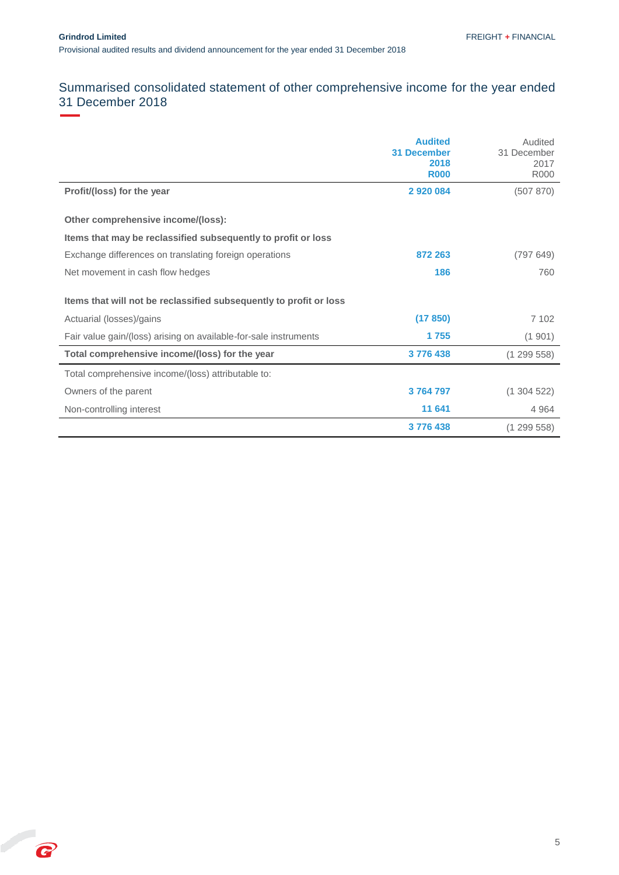<span id="page-5-0"></span>P

# Summarised consolidated statement of other comprehensive income for the year ended 31 December 2018

|                                                                    | <b>Audited</b><br><b>31 December</b><br>2018<br><b>R000</b> | Audited<br>31 December<br>2017<br><b>R000</b> |
|--------------------------------------------------------------------|-------------------------------------------------------------|-----------------------------------------------|
| Profit/(loss) for the year                                         | 2920084                                                     | (507 870)                                     |
| Other comprehensive income/(loss):                                 |                                                             |                                               |
| Items that may be reclassified subsequently to profit or loss      |                                                             |                                               |
| Exchange differences on translating foreign operations             | 872 263                                                     | (797649)                                      |
| Net movement in cash flow hedges                                   | 186                                                         | 760                                           |
| Items that will not be reclassified subsequently to profit or loss |                                                             |                                               |
| Actuarial (losses)/gains                                           | (17 850)                                                    | 7 102                                         |
| Fair value gain/(loss) arising on available-for-sale instruments   | 1755                                                        | (1901)                                        |
| Total comprehensive income/(loss) for the year                     | 3776438                                                     | (1299558)                                     |
| Total comprehensive income/(loss) attributable to:                 |                                                             |                                               |
| Owners of the parent                                               | 3764797                                                     | (1304522)                                     |
| Non-controlling interest                                           | 11 641                                                      | 4 9 6 4                                       |
|                                                                    | 3776438                                                     | (1299558)                                     |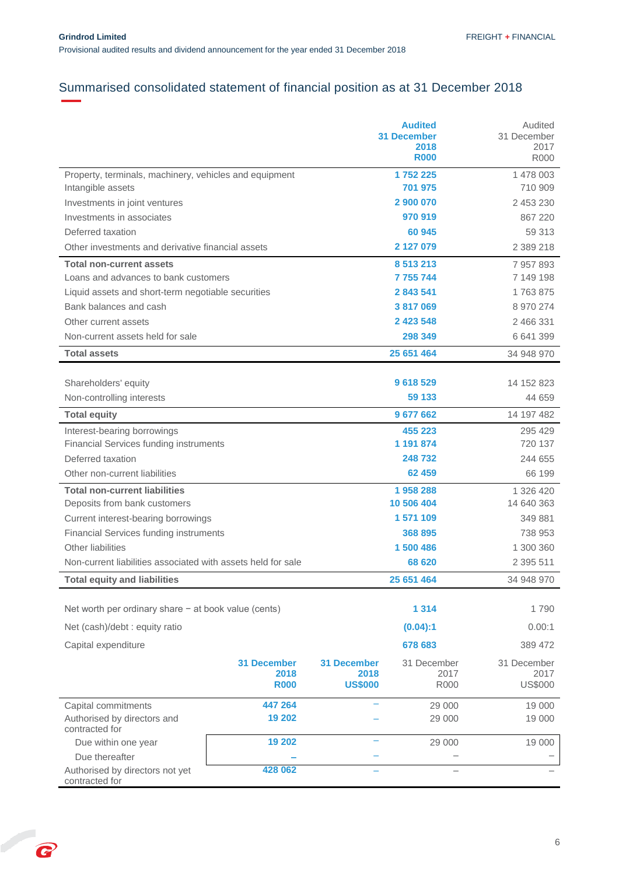# Summarised consolidated statement of financial position as at 31 December 2018

|                                                              |                    |                    | <b>Audited</b><br><b>31 December</b><br>2018<br><b>R000</b> | Audited<br>31 December<br>2017<br><b>R000</b> |
|--------------------------------------------------------------|--------------------|--------------------|-------------------------------------------------------------|-----------------------------------------------|
| Property, terminals, machinery, vehicles and equipment       |                    |                    | 1752225                                                     | 1 478 003                                     |
| Intangible assets                                            |                    |                    | 701 975                                                     | 710 909                                       |
| Investments in joint ventures                                |                    |                    | 2 900 070                                                   | 2 453 230                                     |
| Investments in associates                                    |                    |                    | 970 919                                                     | 867 220                                       |
| Deferred taxation                                            |                    |                    | 60 945                                                      | 59 313                                        |
| Other investments and derivative financial assets            |                    |                    | 2 127 079                                                   | 2 389 218                                     |
| <b>Total non-current assets</b>                              |                    |                    | 8 513 213                                                   | 7957893                                       |
| Loans and advances to bank customers                         |                    |                    | 7 755 744                                                   | 7 149 198                                     |
| Liquid assets and short-term negotiable securities           |                    |                    | 2 843 541                                                   | 1763875                                       |
| Bank balances and cash                                       |                    |                    | 3817069                                                     | 8 970 274                                     |
| Other current assets                                         |                    |                    | 2 423 548                                                   | 2 466 331                                     |
| Non-current assets held for sale                             |                    |                    | 298 349                                                     | 6 641 399                                     |
| <b>Total assets</b>                                          |                    |                    | 25 651 464                                                  | 34 948 970                                    |
|                                                              |                    |                    |                                                             |                                               |
| Shareholders' equity                                         |                    |                    | 9 618 529                                                   | 14 152 823                                    |
| Non-controlling interests                                    |                    |                    | 59 133                                                      | 44 659                                        |
| <b>Total equity</b>                                          |                    |                    | 9 677 662                                                   | 14 197 482                                    |
| Interest-bearing borrowings                                  |                    |                    | 455 223                                                     | 295 429                                       |
| <b>Financial Services funding instruments</b>                |                    |                    | 1 191 874                                                   | 720 137                                       |
| Deferred taxation                                            |                    |                    | 248732                                                      | 244 655                                       |
| Other non-current liabilities                                |                    |                    | 62 459                                                      | 66 199                                        |
| <b>Total non-current liabilities</b>                         |                    |                    | 1958288                                                     | 1 326 420                                     |
| Deposits from bank customers                                 |                    |                    | 10 506 404                                                  | 14 640 363                                    |
| Current interest-bearing borrowings                          |                    |                    | 1 571 109                                                   | 349 881                                       |
| <b>Financial Services funding instruments</b>                |                    |                    | 368 895                                                     | 738 953                                       |
| <b>Other liabilities</b>                                     |                    |                    | 1 500 486                                                   | 1 300 360                                     |
| Non-current liabilities associated with assets held for sale |                    |                    | 68 620                                                      |                                               |
| <b>Total equity and liabilities</b>                          |                    |                    | 25 651 464                                                  | 34 948 970                                    |
|                                                              |                    |                    |                                                             |                                               |
| Net worth per ordinary share $-$ at book value (cents)       |                    |                    | 1 3 1 4                                                     | 1790                                          |
| Net (cash)/debt : equity ratio                               |                    |                    | (0.04):1                                                    | 0.00:1                                        |
| Capital expenditure                                          |                    |                    | 678 683                                                     | 389 472                                       |
|                                                              | <b>31 December</b> | <b>31 December</b> | 31 December                                                 | 31 December                                   |
|                                                              | 2018               | 2018               | 2017                                                        | 2017                                          |
|                                                              | <b>R000</b>        | <b>US\$000</b>     | <b>R000</b>                                                 | <b>US\$000</b>                                |
| Capital commitments                                          | 447 264            |                    | 29 000                                                      | 19 000                                        |
| Authorised by directors and<br>contracted for                | 19 202             |                    | 29 000                                                      | 19 000                                        |
| Due within one year                                          | 19 20 2            |                    | 29 000                                                      | 19 000                                        |
| Due thereafter                                               |                    |                    |                                                             |                                               |
| Authorised by directors not yet<br>contracted for            | 428 062            |                    |                                                             |                                               |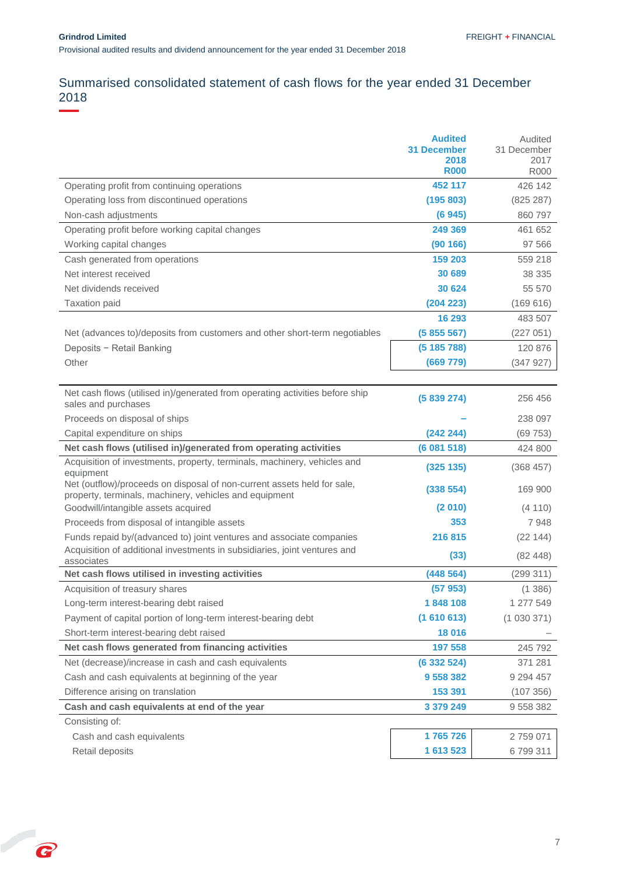# <span id="page-7-0"></span>Summarised consolidated statement of cash flows for the year ended 31 December 2018

|                                                                                                                                   | <b>Audited</b><br><b>31 December</b><br>2018<br><b>R000</b> | Audited<br>31 December<br>2017<br><b>R000</b> |
|-----------------------------------------------------------------------------------------------------------------------------------|-------------------------------------------------------------|-----------------------------------------------|
| Operating profit from continuing operations                                                                                       | 452 117                                                     | 426 142                                       |
| Operating loss from discontinued operations                                                                                       | (195 803)                                                   | (825 287)                                     |
| Non-cash adjustments                                                                                                              | (6945)                                                      | 860 797                                       |
| Operating profit before working capital changes                                                                                   | 249 369                                                     | 461 652                                       |
| Working capital changes                                                                                                           | (90166)                                                     | 97 566                                        |
| Cash generated from operations                                                                                                    | 159 203                                                     | 559 218                                       |
| Net interest received                                                                                                             | 30 689                                                      | 38 335                                        |
| Net dividends received                                                                                                            | 30 624                                                      | 55 570                                        |
| Taxation paid                                                                                                                     | (204 223)                                                   | (169616)                                      |
|                                                                                                                                   | 16 293                                                      | 483 507                                       |
| Net (advances to)/deposits from customers and other short-term negotiables                                                        | (5855567)                                                   | (227051)                                      |
| Deposits - Retail Banking                                                                                                         | (5185788)                                                   | 120 876                                       |
| Other                                                                                                                             | (669 779)                                                   | (347927)                                      |
|                                                                                                                                   |                                                             |                                               |
| Net cash flows (utilised in)/generated from operating activities before ship<br>sales and purchases                               | (5839274)                                                   | 256 456                                       |
| Proceeds on disposal of ships                                                                                                     |                                                             | 238 097                                       |
| Capital expenditure on ships                                                                                                      | (242 244)                                                   | (69753)                                       |
| Net cash flows (utilised in)/generated from operating activities                                                                  | (6081518)                                                   | 424 800                                       |
| Acquisition of investments, property, terminals, machinery, vehicles and<br>equipment                                             | (325 135)                                                   | (368457)                                      |
| Net (outflow)/proceeds on disposal of non-current assets held for sale,<br>property, terminals, machinery, vehicles and equipment | (338 554)                                                   | 169 900                                       |
| Goodwill/intangible assets acquired                                                                                               | (2010)                                                      | (4110)                                        |
| Proceeds from disposal of intangible assets                                                                                       | 353                                                         | 7948                                          |
| Funds repaid by/(advanced to) joint ventures and associate companies                                                              | 216815                                                      | (22144)                                       |
| Acquisition of additional investments in subsidiaries, joint ventures and<br>associates                                           | (33)                                                        | (82, 448)                                     |
| Net cash flows utilised in investing activities                                                                                   | (448564)                                                    | (299311)                                      |
| Acquisition of treasury shares                                                                                                    | (57953)                                                     | (1386)                                        |
| Long-term interest-bearing debt raised                                                                                            | 1848108                                                     | 1 277 549                                     |
| Payment of capital portion of long-term interest-bearing debt                                                                     | (1610613)                                                   | (1030371)                                     |
| Short-term interest-bearing debt raised                                                                                           | 18 016                                                      |                                               |
| Net cash flows generated from financing activities                                                                                | 197 558                                                     | 245 792                                       |
| Net (decrease)/increase in cash and cash equivalents                                                                              | (6332524)                                                   | 371 281                                       |
| Cash and cash equivalents at beginning of the year                                                                                | 9 558 382                                                   | 9 2 9 4 4 5 7                                 |
| Difference arising on translation                                                                                                 | 153 391                                                     | (107 356)                                     |
| Cash and cash equivalents at end of the year                                                                                      | 3 379 249                                                   | 9 558 382                                     |
| Consisting of:                                                                                                                    |                                                             |                                               |
| Cash and cash equivalents                                                                                                         | 1765726                                                     | 2 759 071                                     |
| Retail deposits                                                                                                                   | 1 613 523                                                   | 6799311                                       |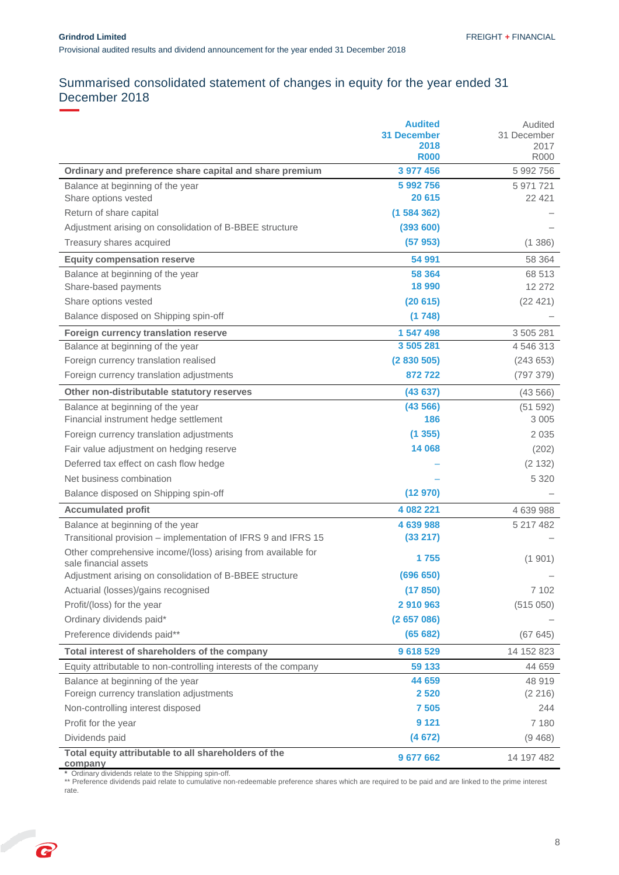# <span id="page-8-0"></span>Summarised consolidated statement of changes in equity for the year ended 31 December 2018

|                                                                                       | <b>Audited</b><br><b>31 December</b> | Audited<br>31 December |
|---------------------------------------------------------------------------------------|--------------------------------------|------------------------|
|                                                                                       | 2018                                 | 2017                   |
|                                                                                       | <b>R000</b>                          | <b>R000</b>            |
| Ordinary and preference share capital and share premium                               | 3 977 456                            | 5 992 756              |
| Balance at beginning of the year                                                      | 5 992 756                            | 5 971 721              |
| Share options vested                                                                  | 20 615                               | 22 4 21                |
| Return of share capital                                                               | (1584362)                            |                        |
| Adjustment arising on consolidation of B-BBEE structure                               | (393 600)                            |                        |
| Treasury shares acquired                                                              | (57953)                              | (1386)                 |
| <b>Equity compensation reserve</b>                                                    | 54 991                               | 58 364                 |
| Balance at beginning of the year                                                      | 58 364                               | 68 513                 |
| Share-based payments                                                                  | 18 990                               | 12 272                 |
| Share options vested                                                                  | (20615)                              | (22 421)               |
| Balance disposed on Shipping spin-off                                                 | (1748)                               |                        |
| Foreign currency translation reserve                                                  | 1 547 498                            | 3 505 281              |
| Balance at beginning of the year                                                      | 3 505 281                            | 4 546 313              |
| Foreign currency translation realised                                                 | (2830505)                            | (243653)               |
| Foreign currency translation adjustments                                              | 872722                               | (797 379)              |
| Other non-distributable statutory reserves                                            | (43637)                              | (43566)                |
| Balance at beginning of the year                                                      | (43566)                              | (51 592)               |
| Financial instrument hedge settlement                                                 | 186                                  | 3 0 0 5                |
| Foreign currency translation adjustments                                              | (1355)                               | 2 0 3 5                |
| Fair value adjustment on hedging reserve                                              | 14 068                               | (202)                  |
| Deferred tax effect on cash flow hedge                                                |                                      | (2 132)                |
| Net business combination                                                              |                                      | 5 3 2 0                |
| Balance disposed on Shipping spin-off                                                 | (12970)                              |                        |
| <b>Accumulated profit</b>                                                             | 4 082 221                            | 4 639 988              |
| Balance at beginning of the year                                                      | 4 639 988                            | 5 217 482              |
| Transitional provision - implementation of IFRS 9 and IFRS 15                         | (33 217)                             |                        |
| Other comprehensive income/(loss) arising from available for<br>sale financial assets | 1755                                 | (1901)                 |
| Adjustment arising on consolidation of B-BBEE structure                               | (696 650)                            |                        |
| Actuarial (losses)/gains recognised                                                   | (17850)                              | 7 102                  |
| Profit/(loss) for the year                                                            | 2 910 963                            | (515050)               |
| Ordinary dividends paid*                                                              | (2657086)                            |                        |
| Preference dividends paid**                                                           | (65682)                              | (67645)                |
| Total interest of shareholders of the company                                         | 9618529                              | 14 152 823             |
| Equity attributable to non-controlling interests of the company                       | 59 133                               | 44 659                 |
| Balance at beginning of the year                                                      | 44 659                               | 48 919                 |
| Foreign currency translation adjustments                                              | 2 5 2 0                              | (2 216)                |
| Non-controlling interest disposed                                                     | 7 5 0 5                              | 244                    |
| Profit for the year                                                                   | 9 1 2 1                              | 7 180                  |
| Dividends paid                                                                        | (4672)                               | (9468)                 |
| Total equity attributable to all shareholders of the<br>company                       | 9 677 662                            | 14 197 482             |

**\*** Ordinary dividends relate to the Shipping spin-off.

<span id="page-8-1"></span>\*\* Preference dividends paid relate to cumulative non-redeemable preference shares which are required to be paid and are linked to the prime interest rate.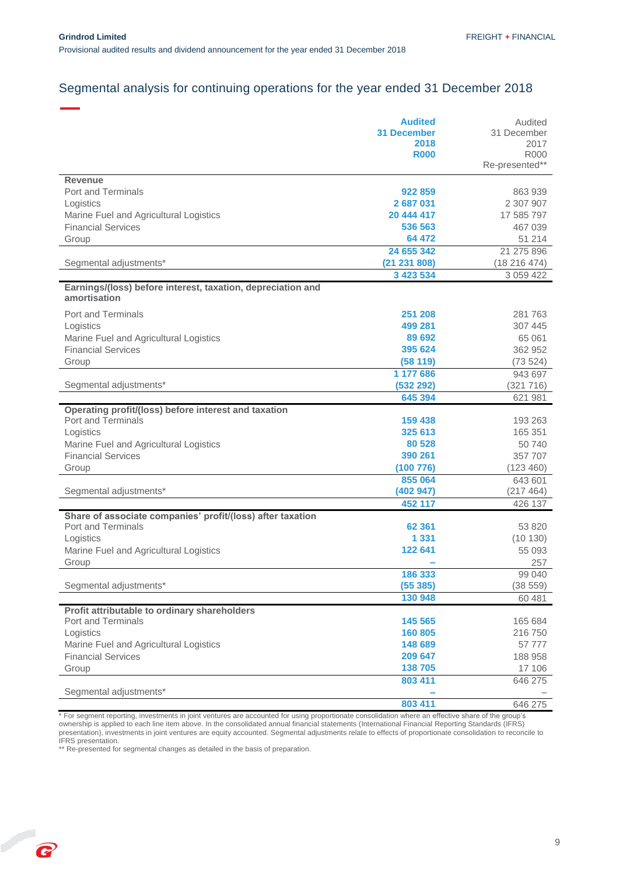# Segmental analysis for continuing operations for the year ended 31 December 2018

|                                                             | <b>Audited</b>     | Audited        |
|-------------------------------------------------------------|--------------------|----------------|
|                                                             | <b>31 December</b> | 31 December    |
|                                                             | 2018               | 2017           |
|                                                             | <b>R000</b>        | <b>R000</b>    |
|                                                             |                    | Re-presented** |
|                                                             |                    |                |
| <b>Revenue</b>                                              |                    |                |
| <b>Port and Terminals</b>                                   | 922 859            | 863 939        |
| Logistics                                                   | 2687031            | 2 307 907      |
| Marine Fuel and Agricultural Logistics                      | 20 444 417         | 17 585 797     |
| <b>Financial Services</b>                                   | 536 563            | 467 039        |
| Group                                                       | 64 472             | 51 214         |
|                                                             | 24 655 342         | 21 275 896     |
| Segmental adjustments*                                      | (21 231 808)       | (18216474)     |
|                                                             | 3 423 534          | 3 059 422      |
| Earnings/(loss) before interest, taxation, depreciation and |                    |                |
| amortisation                                                |                    |                |
| <b>Port and Terminals</b>                                   | 251 208            | 281 763        |
| Logistics                                                   | 499 281            | 307 445        |
| Marine Fuel and Agricultural Logistics                      | 89 692             | 65 061         |
| <b>Financial Services</b>                                   | 395 624            | 362 952        |
|                                                             |                    |                |
| Group                                                       | (58119)            | (73524)        |
|                                                             | 1 177 686          | 943 697        |
| Segmental adjustments*                                      | (532 292)          | (321 716)      |
|                                                             | 645 394            | 621 981        |
| Operating profit/(loss) before interest and taxation        |                    |                |
| Port and Terminals                                          | 159 438            | 193 263        |
| Logistics                                                   | 325 613            | 165 351        |
| Marine Fuel and Agricultural Logistics                      | 80 528             | 50 740         |
| <b>Financial Services</b>                                   | 390 261            | 357 707        |
| Group                                                       | (100 776)          | (123 460)      |
|                                                             | 855 064            | 643 601        |
| Segmental adjustments*                                      | (402947)           | (217 464)      |
|                                                             | 452 117            | 426 137        |
| Share of associate companies' profit/(loss) after taxation  |                    |                |
| <b>Port and Terminals</b>                                   | 62 361             | 53 820         |
|                                                             | 1 3 3 1            |                |
| Logistics                                                   |                    | (10130)        |
| Marine Fuel and Agricultural Logistics                      | 122 641            | 55 093         |
| Group                                                       |                    | 257            |
|                                                             | 186 333            | 99 040         |
| Segmental adjustments*                                      | (55385)            | (38559)        |
|                                                             | 130 948            | 60 481         |
| Profit attributable to ordinary shareholders                |                    |                |
| Port and Terminals                                          | 145 565            | 165 684        |
| Logistics                                                   | 160 805            | 216 750        |
| Marine Fuel and Agricultural Logistics                      | 148 689            | 57 777         |
| <b>Financial Services</b>                                   | 209 647            | 188 958        |
| Group                                                       | 138 705            | 17 106         |
|                                                             | 803 411            | 646 275        |
| Segmental adjustments*                                      |                    |                |
|                                                             |                    |                |
|                                                             | 803 411            | 646 275        |

\* For segment reporting, investments in joint ventures are accounted for using proportionate consolidation where an effective share of the group's ownership is applied to each line item above. In the consolidated annual financial statements (International Financial Reporting Standards (IFRS) presentation), investments in joint ventures are equity accounted. Segmental adjustments relate to effects of proportionate consolidation to reconcile to IFRS presentation.

\*\* Re-presented for segmental changes as detailed in the basis of preparation.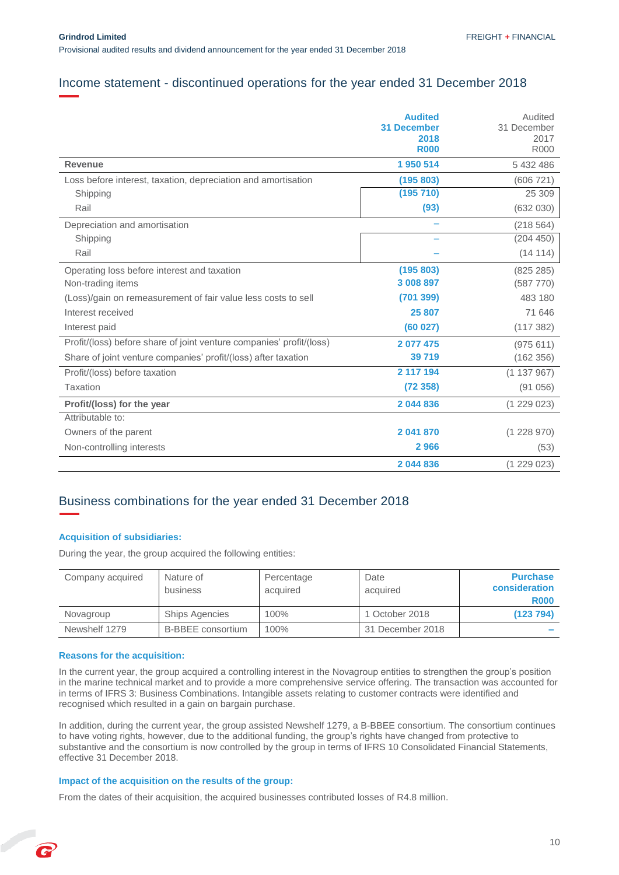### <span id="page-10-0"></span>Income statement - discontinued operations for the year ended 31 December 2018

|                                                                      | <b>Audited</b><br><b>31 December</b><br>2018<br><b>R000</b> | Audited<br>31 December<br>2017<br><b>R000</b> |
|----------------------------------------------------------------------|-------------------------------------------------------------|-----------------------------------------------|
| <b>Revenue</b>                                                       | 1950 514                                                    | 5 432 486                                     |
| Loss before interest, taxation, depreciation and amortisation        | (195 803)                                                   | (606 721)                                     |
| Shipping                                                             | (195 710)                                                   | 25 309                                        |
| Rail                                                                 | (93)                                                        | (632 030)                                     |
| Depreciation and amortisation                                        |                                                             | (218564)                                      |
| Shipping                                                             |                                                             | (204 450)                                     |
| Rail                                                                 |                                                             | (14 114)                                      |
| Operating loss before interest and taxation                          | (195803)                                                    | (825 285)                                     |
| Non-trading items                                                    | 3 008 897                                                   | (587 770)                                     |
| (Loss)/gain on remeasurement of fair value less costs to sell        | (701 399)                                                   | 483 180                                       |
| Interest received                                                    | 25 807                                                      | 71 646                                        |
| Interest paid                                                        | (60027)                                                     | (117382)                                      |
| Profit/(loss) before share of joint venture companies' profit/(loss) | 2 077 475                                                   | (975611)                                      |
| Share of joint venture companies' profit/(loss) after taxation       | 39 719                                                      | (162 356)                                     |
| Profit/(loss) before taxation                                        | 2 117 194                                                   | (1137967)                                     |
| <b>Taxation</b>                                                      | (72358)                                                     | (91056)                                       |
| Profit/(loss) for the year                                           | 2 044 836                                                   | (1229023)                                     |
| Attributable to:                                                     |                                                             |                                               |
| Owners of the parent                                                 | 2 041 870                                                   | (1228970)                                     |
| Non-controlling interests                                            | 2966                                                        | (53)                                          |
|                                                                      | 2 044 836                                                   | (1229023)                                     |

### <span id="page-10-1"></span>Business combinations for the year ended 31 December 2018

#### **Acquisition of subsidiaries:**

During the year, the group acquired the following entities:

| Company acquired | Nature of<br>business    | Percentage<br>acquired | Date<br>acquired | <b>Purchase</b><br>consideration<br><b>R000</b> |
|------------------|--------------------------|------------------------|------------------|-------------------------------------------------|
| Novagroup        | <b>Ships Agencies</b>    | 100%                   | 1 October 2018   | (123 794)                                       |
| Newshelf 1279    | <b>B-BBEE</b> consortium | 100%                   | 31 December 2018 | $\sim$                                          |

#### **Reasons for the acquisition:**

C

In the current year, the group acquired a controlling interest in the Novagroup entities to strengthen the group's position in the marine technical market and to provide a more comprehensive service offering. The transaction was accounted for in terms of IFRS 3: Business Combinations. Intangible assets relating to customer contracts were identified and recognised which resulted in a gain on bargain purchase.

In addition, during the current year, the group assisted Newshelf 1279, a B-BBEE consortium. The consortium continues to have voting rights, however, due to the additional funding, the group's rights have changed from protective to substantive and the consortium is now controlled by the group in terms of IFRS 10 Consolidated Financial Statements, effective 31 December 2018.

#### **Impact of the acquisition on the results of the group:**

From the dates of their acquisition, the acquired businesses contributed losses of R4.8 million.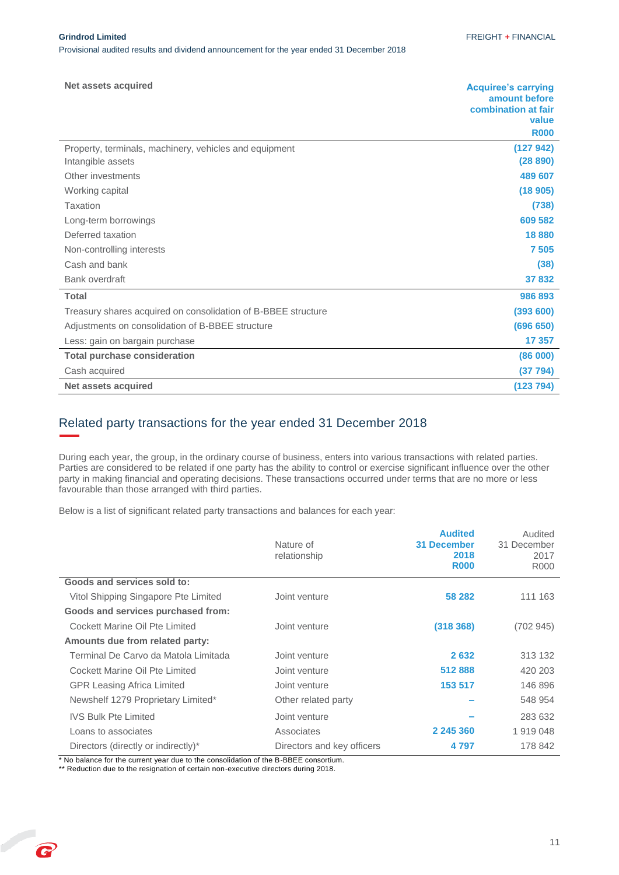| Net assets acquired                                           | <b>Acquiree's carrying</b><br>amount before<br>combination at fair<br>value<br><b>R000</b> |
|---------------------------------------------------------------|--------------------------------------------------------------------------------------------|
| Property, terminals, machinery, vehicles and equipment        | (127942)                                                                                   |
| Intangible assets                                             | (28 890)                                                                                   |
| Other investments                                             | 489 607                                                                                    |
| Working capital                                               | (18905)                                                                                    |
| Taxation                                                      | (738)                                                                                      |
| Long-term borrowings                                          | 609 582                                                                                    |
| Deferred taxation                                             | 18 880                                                                                     |
| Non-controlling interests                                     | 7505                                                                                       |
| Cash and bank                                                 | (38)                                                                                       |
| Bank overdraft                                                | 37 832                                                                                     |
| <b>Total</b>                                                  | 986 893                                                                                    |
| Treasury shares acquired on consolidation of B-BBEE structure | (393 600)                                                                                  |
| Adjustments on consolidation of B-BBEE structure              | (696 650)                                                                                  |
| Less: gain on bargain purchase                                | 17 357                                                                                     |
| <b>Total purchase consideration</b>                           | (86 000)                                                                                   |
| Cash acquired                                                 | (37 794)                                                                                   |
| Net assets acquired                                           | (123 794)                                                                                  |

### <span id="page-11-0"></span>Related party transactions for the year ended 31 December 2018

During each year, the group, in the ordinary course of business, enters into various transactions with related parties. Parties are considered to be related if one party has the ability to control or exercise significant influence over the other party in making financial and operating decisions. These transactions occurred under terms that are no more or less favourable than those arranged with third parties.

Below is a list of significant related party transactions and balances for each year:

|                                      | Nature of<br>relationship  | <b>Audited</b><br><b>31 December</b><br>2018<br><b>R000</b> | Audited<br>31 December<br>2017<br>R000 |
|--------------------------------------|----------------------------|-------------------------------------------------------------|----------------------------------------|
| Goods and services sold to:          |                            |                                                             |                                        |
| Vitol Shipping Singapore Pte Limited | Joint venture              | 58 282                                                      | 111 163                                |
| Goods and services purchased from:   |                            |                                                             |                                        |
| Cockett Marine Oil Pte Limited       | Joint venture              | (318, 368)                                                  | (702945)                               |
| Amounts due from related party:      |                            |                                                             |                                        |
| Terminal De Carvo da Matola Limitada | Joint venture              | 2632                                                        | 313 132                                |
| Cockett Marine Oil Pte Limited       | Joint venture              | 512888                                                      | 420 203                                |
| <b>GPR Leasing Africa Limited</b>    | Joint venture              | 153 517                                                     | 146 896                                |
| Newshelf 1279 Proprietary Limited*   | Other related party        |                                                             | 548 954                                |
| <b>IVS Bulk Pte Limited</b>          | Joint venture              |                                                             | 283 632                                |
| Loans to associates                  | Associates                 | 2 245 360                                                   | 1919048                                |
| Directors (directly or indirectly)*  | Directors and key officers | 4 7 9 7                                                     | 178 842                                |

\* No balance for the current year due to the consolidation of the B-BBEE consortium. \*\* Reduction due to the resignation of certain non-executive directors during 2018.

G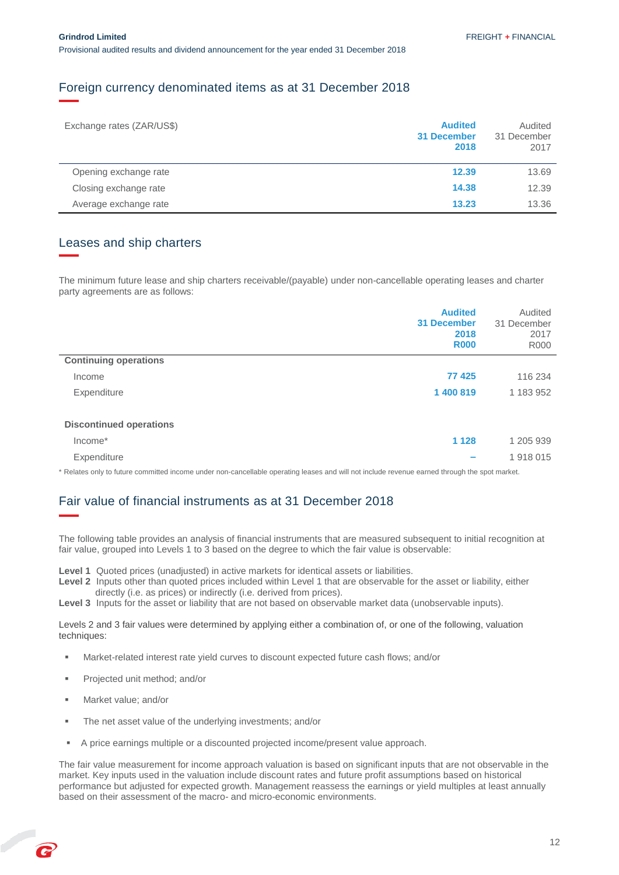### <span id="page-12-0"></span>Foreign currency denominated items as at 31 December 2018

| Exchange rates (ZAR/US\$) | <b>Audited</b><br>31 December<br>2018 | Audited<br>31 December<br>2017 |
|---------------------------|---------------------------------------|--------------------------------|
| Opening exchange rate     | 12.39                                 | 13.69                          |
| Closing exchange rate     | 14.38                                 | 12.39                          |
| Average exchange rate     | 13.23                                 | 13.36                          |

### Leases and ship charters

The minimum future lease and ship charters receivable/(payable) under non-cancellable operating leases and charter party agreements are as follows:

|                                | <b>Audited</b><br><b>31 December</b><br>2018<br><b>R000</b> | Audited<br>31 December<br>2017<br><b>R000</b> |
|--------------------------------|-------------------------------------------------------------|-----------------------------------------------|
| <b>Continuing operations</b>   |                                                             |                                               |
| Income                         | 77 4 25                                                     | 116 234                                       |
| Expenditure                    | 1 400 819                                                   | 1 183 952                                     |
| <b>Discontinued operations</b> |                                                             |                                               |
| Income*                        | 1 1 2 8                                                     | 1 205 939                                     |
| Expenditure                    |                                                             | 1918015                                       |

\* Relates only to future committed income under non-cancellable operating leases and will not include revenue earned through the spot market.

### <span id="page-12-1"></span>Fair value of financial instruments as at 31 December 2018

The following table provides an analysis of financial instruments that are measured subsequent to initial recognition at fair value, grouped into Levels 1 to 3 based on the degree to which the fair value is observable:

**Level 1** Quoted prices (unadjusted) in active markets for identical assets or liabilities.

- **Level 2** Inputs other than quoted prices included within Level 1 that are observable for the asset or liability, either directly (i.e. as prices) or indirectly (i.e. derived from prices).
- Level 3 Inputs for the asset or liability that are not based on observable market data (unobservable inputs).

Levels 2 and 3 fair values were determined by applying either a combination of, or one of the following, valuation techniques:

- Market-related interest rate yield curves to discount expected future cash flows; and/or
- Projected unit method; and/or
- Market value; and/or
- The net asset value of the underlying investments; and/or
- A price earnings multiple or a discounted projected income/present value approach.

The fair value measurement for income approach valuation is based on significant inputs that are not observable in the market. Key inputs used in the valuation include discount rates and future profit assumptions based on historical performance but adjusted for expected growth. Management reassess the earnings or yield multiples at least annually based on their assessment of the macro- and micro-economic environments.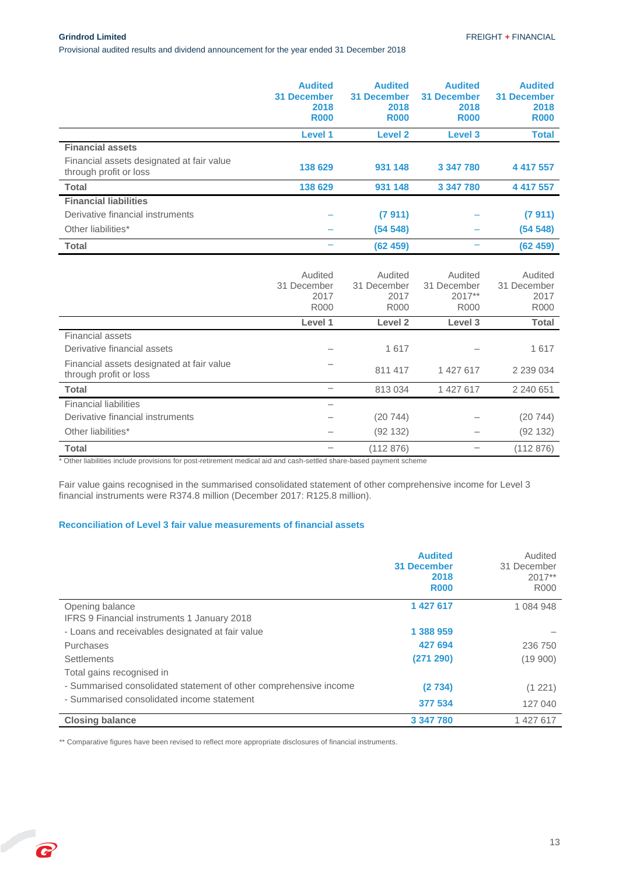Provisional audited results and dividend announcement for the year ended 31 December 2018

|                                                                     | <b>Audited</b><br><b>31 December</b><br>2018<br><b>R000</b> | <b>Audited</b><br><b>31 December</b><br>2018<br><b>R000</b> | <b>Audited</b><br><b>31 December</b><br>2018<br><b>R000</b> | <b>Audited</b><br><b>31 December</b><br>2018<br><b>R000</b> |
|---------------------------------------------------------------------|-------------------------------------------------------------|-------------------------------------------------------------|-------------------------------------------------------------|-------------------------------------------------------------|
|                                                                     | Level 1                                                     | <b>Level 2</b>                                              | Level 3                                                     | <b>Total</b>                                                |
| <b>Financial assets</b>                                             |                                                             |                                                             |                                                             |                                                             |
| Financial assets designated at fair value<br>through profit or loss | 138 629                                                     | 931 148                                                     | 3 347 780                                                   | 4 417 557                                                   |
| <b>Total</b>                                                        | 138 629                                                     | 931 148                                                     | 3 347 780                                                   | 4 417 557                                                   |
| <b>Financial liabilities</b>                                        |                                                             |                                                             |                                                             |                                                             |
| Derivative financial instruments                                    |                                                             | (7911)                                                      |                                                             | (7911)                                                      |
| Other liabilities*                                                  |                                                             | (54548)                                                     |                                                             | (54548)                                                     |
| Total                                                               |                                                             | (62459)                                                     |                                                             | (62459)                                                     |
|                                                                     | Audited                                                     | Audited                                                     | Audited                                                     | Audited                                                     |

|                                                                     | Augited<br>31 December | Auglied<br>31 December | Auglied<br>31 December | Auglied<br>31 December |
|---------------------------------------------------------------------|------------------------|------------------------|------------------------|------------------------|
|                                                                     | 2017                   | 2017                   | $2017**$               | 2017                   |
|                                                                     | <b>R000</b>            | R000                   | <b>R000</b>            | <b>R000</b>            |
|                                                                     | Level 1                | Level 2                | Level 3                | <b>Total</b>           |
| <b>Financial assets</b>                                             |                        |                        |                        |                        |
| Derivative financial assets                                         |                        | 1617                   |                        | 1617                   |
| Financial assets designated at fair value<br>through profit or loss |                        | 811 417                | 1 427 617              | 2 2 3 0 0 3 4          |
| <b>Total</b>                                                        |                        | 813034                 | 1 427 617              | 2 240 651              |
| <b>Financial liabilities</b>                                        |                        |                        |                        |                        |
| Derivative financial instruments                                    |                        | (20744)                |                        | (20744)                |
| Other liabilities*                                                  |                        | (92 132)               |                        | (92 132)               |
| <b>Total</b>                                                        |                        | (112 876)              |                        | (112 876)              |

\* Other liabilities include provisions for post-retirement medical aid and cash-settled share-based payment scheme

Fair value gains recognised in the summarised consolidated statement of other comprehensive income for Level 3 financial instruments were R374.8 million (December 2017: R125.8 million).

#### **Reconciliation of Level 3 fair value measurements of financial assets**

|                                                                   | <b>Audited</b><br><b>31 December</b><br>2018<br><b>R000</b> | Audited<br>31 December<br>$2017**$<br>R000 |
|-------------------------------------------------------------------|-------------------------------------------------------------|--------------------------------------------|
| Opening balance                                                   | 1 427 617                                                   | 1 084 948                                  |
| IFRS 9 Financial instruments 1 January 2018                       |                                                             |                                            |
| - Loans and receivables designated at fair value                  | 1 388 959                                                   |                                            |
| Purchases                                                         | 427 694                                                     | 236 750                                    |
| <b>Settlements</b>                                                | (271 290)                                                   | (19900)                                    |
| Total gains recognised in                                         |                                                             |                                            |
| - Summarised consolidated statement of other comprehensive income | (2734)                                                      | (1 221)                                    |
| - Summarised consolidated income statement                        | 377 534                                                     | 127 040                                    |
| <b>Closing balance</b>                                            | 3 347 780                                                   | 1 427 617                                  |

\*\* Comparative figures have been revised to reflect more appropriate disclosures of financial instruments.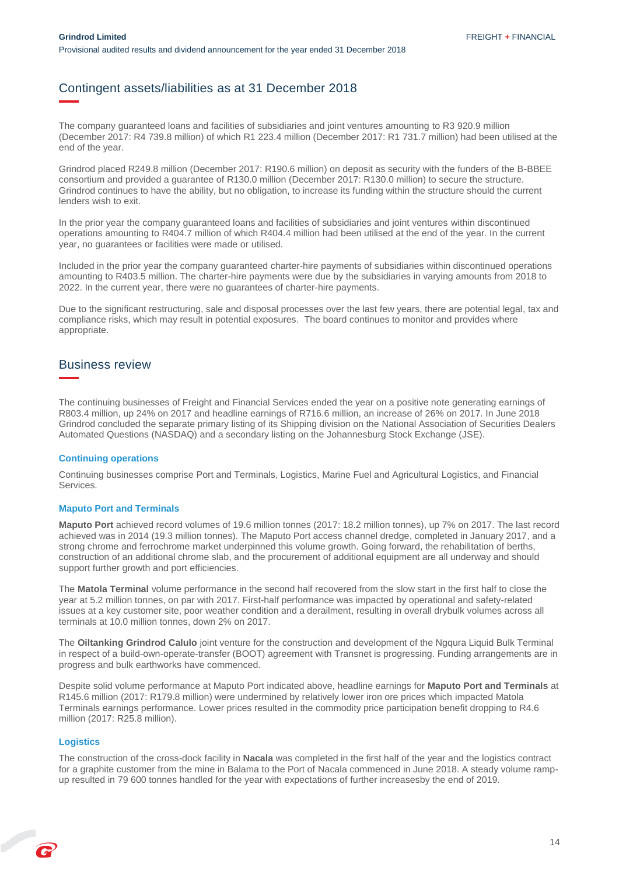### <span id="page-14-0"></span>Contingent assets/liabilities as at 31 December 2018

The company guaranteed loans and facilities of subsidiaries and joint ventures amounting to R3 920.9 million (December 2017: R4 739.8 million) of which R1 223.4 million (December 2017: R1 731.7 million) had been utilised at the end of the year.

Grindrod placed R249.8 million (December 2017: R190.6 million) on deposit as security with the funders of the B-BBEE consortium and provided a guarantee of R130.0 million (December 2017: R130.0 million) to secure the structure. Grindrod continues to have the ability, but no obligation, to increase its funding within the structure should the current lenders wish to exit.

In the prior year the company guaranteed loans and facilities of subsidiaries and joint ventures within discontinued operations amounting to R404.7 million of which R404.4 million had been utilised at the end of the year. In the current year, no guarantees or facilities were made or utilised.

Included in the prior year the company guaranteed charter-hire payments of subsidiaries within discontinued operations amounting to R403.5 million. The charter-hire payments were due by the subsidiaries in varying amounts from 2018 to 2022. In the current year, there were no guarantees of charter-hire payments.

Due to the significant restructuring, sale and disposal processes over the last few years, there are potential legal, tax and compliance risks, which may result in potential exposures. The board continues to monitor and provides where appropriate.

### <span id="page-14-1"></span>Business review

The continuing businesses of Freight and Financial Services ended the year on a positive note generating earnings of R803.4 million, up 24% on 2017 and headline earnings of R716.6 million, an increase of 26% on 2017. In June 2018 Grindrod concluded the separate primary listing of its Shipping division on the National Association of Securities Dealers Automated Questions (NASDAQ) and a secondary listing on the Johannesburg Stock Exchange (JSE).

#### **Continuing operations**

Continuing businesses comprise Port and Terminals, Logistics, Marine Fuel and Agricultural Logistics, and Financial Services.

#### **Maputo Port and Terminals**

**Maputo Port** achieved record volumes of 19.6 million tonnes (2017: 18.2 million tonnes), up 7% on 2017. The last record achieved was in 2014 (19.3 million tonnes). The Maputo Port access channel dredge, completed in January 2017, and a strong chrome and ferrochrome market underpinned this volume growth. Going forward, the rehabilitation of berths, construction of an additional chrome slab, and the procurement of additional equipment are all underway and should support further growth and port efficiencies.

The **Matola Terminal** volume performance in the second half recovered from the slow start in the first half to close the year at 5.2 million tonnes, on par with 2017. First-half performance was impacted by operational and safety-related issues at a key customer site, poor weather condition and a derailment, resulting in overall drybulk volumes across all terminals at 10.0 million tonnes, down 2% on 2017.

The **Oiltanking Grindrod Calulo** joint venture for the construction and development of the Ngqura Liquid Bulk Terminal in respect of a build-own-operate-transfer (BOOT) agreement with Transnet is progressing. Funding arrangements are in progress and bulk earthworks have commenced.

Despite solid volume performance at Maputo Port indicated above, headline earnings for **Maputo Port and Terminals** at R145.6 million (2017: R179.8 million) were undermined by relatively lower iron ore prices which impacted Matola Terminals earnings performance. Lower prices resulted in the commodity price participation benefit dropping to R4.6 million (2017: R25.8 million).

#### **Logistics**

The construction of the cross-dock facility in **Nacala** was completed in the first half of the year and the logistics contract for a graphite customer from the mine in Balama to the Port of Nacala commenced in June 2018. A steady volume rampup resulted in 79 600 tonnes handled for the year with expectations of further increasesby the end of 2019.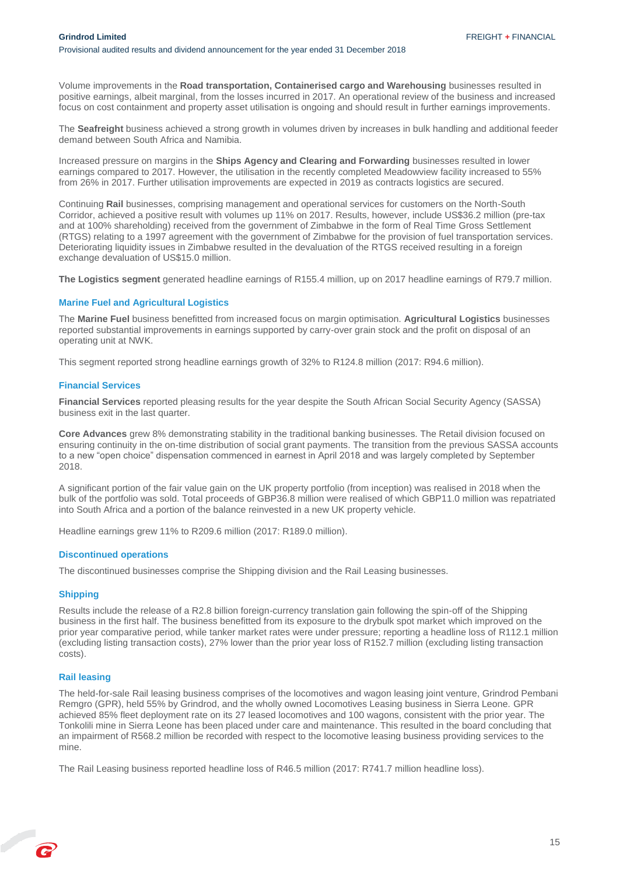Volume improvements in the **Road transportation, Containerised cargo and Warehousing** businesses resulted in positive earnings, albeit marginal, from the losses incurred in 2017. An operational review of the business and increased focus on cost containment and property asset utilisation is ongoing and should result in further earnings improvements.

The **Seafreight** business achieved a strong growth in volumes driven by increases in bulk handling and additional feeder demand between South Africa and Namibia.

Increased pressure on margins in the **Ships Agency and Clearing and Forwarding** businesses resulted in lower earnings compared to 2017. However, the utilisation in the recently completed Meadowview facility increased to 55% from 26% in 2017. Further utilisation improvements are expected in 2019 as contracts logistics are secured.

Continuing **Rail** businesses, comprising management and operational services for customers on the North-South Corridor, achieved a positive result with volumes up 11% on 2017. Results, however, include US\$36.2 million (pre-tax and at 100% shareholding) received from the government of Zimbabwe in the form of Real Time Gross Settlement (RTGS) relating to a 1997 agreement with the government of Zimbabwe for the provision of fuel transportation services. Deteriorating liquidity issues in Zimbabwe resulted in the devaluation of the RTGS received resulting in a foreign exchange devaluation of US\$15.0 million.

**The Logistics segment** generated headline earnings of R155.4 million, up on 2017 headline earnings of R79.7 million.

#### **Marine Fuel and Agricultural Logistics**

The **Marine Fuel** business benefitted from increased focus on margin optimisation. **Agricultural Logistics** businesses reported substantial improvements in earnings supported by carry-over grain stock and the profit on disposal of an operating unit at NWK.

This segment reported strong headline earnings growth of 32% to R124.8 million (2017: R94.6 million).

#### **Financial Services**

**Financial Services** reported pleasing results for the year despite the South African Social Security Agency (SASSA) business exit in the last quarter.

**Core Advances** grew 8% demonstrating stability in the traditional banking businesses. The Retail division focused on ensuring continuity in the on-time distribution of social grant payments. The transition from the previous SASSA accounts to a new "open choice" dispensation commenced in earnest in April 2018 and was largely completed by September 2018.

A significant portion of the fair value gain on the UK property portfolio (from inception) was realised in 2018 when the bulk of the portfolio was sold. Total proceeds of GBP36.8 million were realised of which GBP11.0 million was repatriated into South Africa and a portion of the balance reinvested in a new UK property vehicle.

Headline earnings grew 11% to R209.6 million (2017: R189.0 million).

#### **Discontinued operations**

The discontinued businesses comprise the Shipping division and the Rail Leasing businesses.

#### **Shipping**

Results include the release of a R2.8 billion foreign-currency translation gain following the spin-off of the Shipping business in the first half. The business benefitted from its exposure to the drybulk spot market which improved on the prior year comparative period, while tanker market rates were under pressure; reporting a headline loss of R112.1 million (excluding listing transaction costs), 27% lower than the prior year loss of R152.7 million (excluding listing transaction costs).

#### **Rail leasing**

P

The held-for-sale Rail leasing business comprises of the locomotives and wagon leasing joint venture, Grindrod Pembani Remgro (GPR), held 55% by Grindrod, and the wholly owned Locomotives Leasing business in Sierra Leone. GPR achieved 85% fleet deployment rate on its 27 leased locomotives and 100 wagons, consistent with the prior year. The Tonkolili mine in Sierra Leone has been placed under care and maintenance. This resulted in the board concluding that an impairment of R568.2 million be recorded with respect to the locomotive leasing business providing services to the mine.

The Rail Leasing business reported headline loss of R46.5 million (2017: R741.7 million headline loss).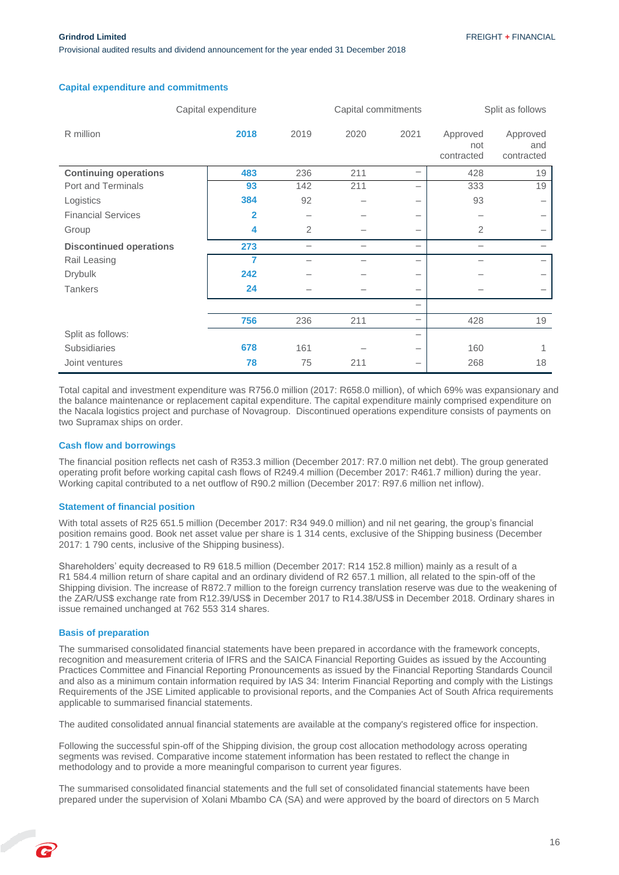Provisional audited results and dividend announcement for the year ended 31 December 2018

|                                | Capital expenditure |      |      | Capital commitments      |                               | Split as follows              |
|--------------------------------|---------------------|------|------|--------------------------|-------------------------------|-------------------------------|
| R million                      | 2018                | 2019 | 2020 | 2021                     | Approved<br>not<br>contracted | Approved<br>and<br>contracted |
| <b>Continuing operations</b>   | 483                 | 236  | 211  | -                        | 428                           | 19                            |
| Port and Terminals             | 93                  | 142  | 211  |                          | 333                           | 19                            |
| Logistics                      | 384                 | 92   |      | $\overline{\phantom{0}}$ | 93                            |                               |
| <b>Financial Services</b>      | $\overline{2}$      |      |      | $\overline{\phantom{m}}$ |                               |                               |
| Group                          | 4                   | 2    |      | -                        | $\overline{2}$                |                               |
| <b>Discontinued operations</b> | 273                 |      |      | $\overline{\phantom{0}}$ |                               |                               |
| Rail Leasing                   | 7                   |      |      | $\overline{\phantom{0}}$ |                               |                               |
| <b>Drybulk</b>                 | 242                 |      |      | $\qquad \qquad$          |                               |                               |
| <b>Tankers</b>                 | 24                  |      |      |                          |                               |                               |
|                                |                     |      |      | $\overline{\phantom{0}}$ |                               |                               |
|                                | 756                 | 236  | 211  | $\overline{\phantom{0}}$ | 428                           | 19                            |
| Split as follows:              |                     |      |      | $\overline{\phantom{0}}$ |                               |                               |
| Subsidiaries                   | 678                 | 161  |      | -                        | 160                           |                               |
| Joint ventures                 | 78                  | 75   | 211  | -                        | 268                           | 18                            |

#### **Capital expenditure and commitments**

Total capital and investment expenditure was R756.0 million (2017: R658.0 million), of which 69% was expansionary and the balance maintenance or replacement capital expenditure. The capital expenditure mainly comprised expenditure on the Nacala logistics project and purchase of Novagroup. Discontinued operations expenditure consists of payments on two Supramax ships on order.

#### **Cash flow and borrowings**

The financial position reflects net cash of R353.3 million (December 2017: R7.0 million net debt). The group generated operating profit before working capital cash flows of R249.4 million (December 2017: R461.7 million) during the year. Working capital contributed to a net outflow of R90.2 million (December 2017: R97.6 million net inflow).

#### **Statement of financial position**

With total assets of R25 651.5 million (December 2017: R34 949.0 million) and nil net gearing, the group's financial position remains good. Book net asset value per share is 1 314 cents, exclusive of the Shipping business (December 2017: 1 790 cents, inclusive of the Shipping business).

Shareholders' equity decreased to R9 618.5 million (December 2017: R14 152.8 million) mainly as a result of a R1 584.4 million return of share capital and an ordinary dividend of R2 657.1 million, all related to the spin-off of the Shipping division. The increase of R872.7 million to the foreign currency translation reserve was due to the weakening of the ZAR/US\$ exchange rate from R12.39/US\$ in December 2017 to R14.38/US\$ in December 2018. Ordinary shares in issue remained unchanged at 762 553 314 shares.

#### **Basis of preparation**

The summarised consolidated financial statements have been prepared in accordance with the framework concepts, recognition and measurement criteria of IFRS and the SAICA Financial Reporting Guides as issued by the Accounting Practices Committee and Financial Reporting Pronouncements as issued by the Financial Reporting Standards Council and also as a minimum contain information required by IAS 34: Interim Financial Reporting and comply with the Listings Requirements of the JSE Limited applicable to provisional reports, and the Companies Act of South Africa requirements applicable to summarised financial statements.

The audited consolidated annual financial statements are available at the company's registered office for inspection.

Following the successful spin-off of the Shipping division, the group cost allocation methodology across operating segments was revised. Comparative income statement information has been restated to reflect the change in methodology and to provide a more meaningful comparison to current year figures.

The summarised consolidated financial statements and the full set of consolidated financial statements have been prepared under the supervision of Xolani Mbambo CA (SA) and were approved by the board of directors on 5 March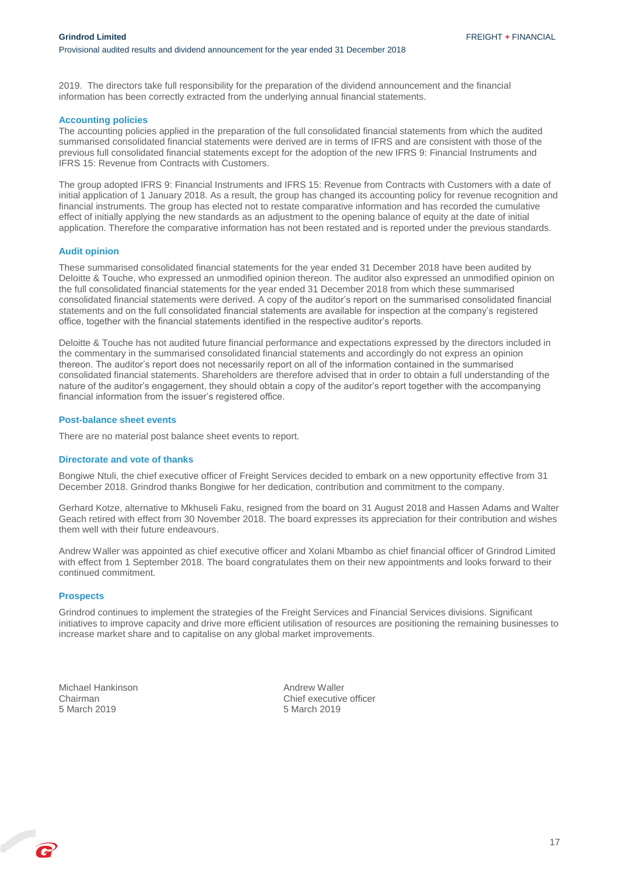2019. The directors take full responsibility for the preparation of the dividend announcement and the financial information has been correctly extracted from the underlying annual financial statements.

#### **Accounting policies**

The accounting policies applied in the preparation of the full consolidated financial statements from which the audited summarised consolidated financial statements were derived are in terms of IFRS and are consistent with those of the previous full consolidated financial statements except for the adoption of the new IFRS 9: Financial Instruments and IFRS 15: Revenue from Contracts with Customers.

The group adopted IFRS 9: Financial Instruments and IFRS 15: Revenue from Contracts with Customers with a date of initial application of 1 January 2018. As a result, the group has changed its accounting policy for revenue recognition and financial instruments. The group has elected not to restate comparative information and has recorded the cumulative effect of initially applying the new standards as an adjustment to the opening balance of equity at the date of initial application. Therefore the comparative information has not been restated and is reported under the previous standards.

#### **Audit opinion**

These summarised consolidated financial statements for the year ended 31 December 2018 have been audited by Deloitte & Touche, who expressed an unmodified opinion thereon. The auditor also expressed an unmodified opinion on the full consolidated financial statements for the year ended 31 December 2018 from which these summarised consolidated financial statements were derived. A copy of the auditor's report on the summarised consolidated financial statements and on the full consolidated financial statements are available for inspection at the company's registered office, together with the financial statements identified in the respective auditor's reports.

Deloitte & Touche has not audited future financial performance and expectations expressed by the directors included in the commentary in the summarised consolidated financial statements and accordingly do not express an opinion thereon. The auditor's report does not necessarily report on all of the information contained in the summarised consolidated financial statements. Shareholders are therefore advised that in order to obtain a full understanding of the nature of the auditor's engagement, they should obtain a copy of the auditor's report together with the accompanying financial information from the issuer's registered office.

#### **Post-balance sheet events**

There are no material post balance sheet events to report.

#### **Directorate and vote of thanks**

Bongiwe Ntuli, the chief executive officer of Freight Services decided to embark on a new opportunity effective from 31 December 2018. Grindrod thanks Bongiwe for her dedication, contribution and commitment to the company.

Gerhard Kotze, alternative to Mkhuseli Faku, resigned from the board on 31 August 2018 and Hassen Adams and Walter Geach retired with effect from 30 November 2018. The board expresses its appreciation for their contribution and wishes them well with their future endeavours.

Andrew Waller was appointed as chief executive officer and Xolani Mbambo as chief financial officer of Grindrod Limited with effect from 1 September 2018. The board congratulates them on their new appointments and looks forward to their continued commitment.

#### **Prospects**

Grindrod continues to implement the strategies of the Freight Services and Financial Services divisions. Significant initiatives to improve capacity and drive more efficient utilisation of resources are positioning the remaining businesses to increase market share and to capitalise on any global market improvements.

Michael Hankinson **Andrew Waller**<br>
Chairman **Andrew Waller**<br>
Chief executive

Chairman Chief executive officer 5 March 2019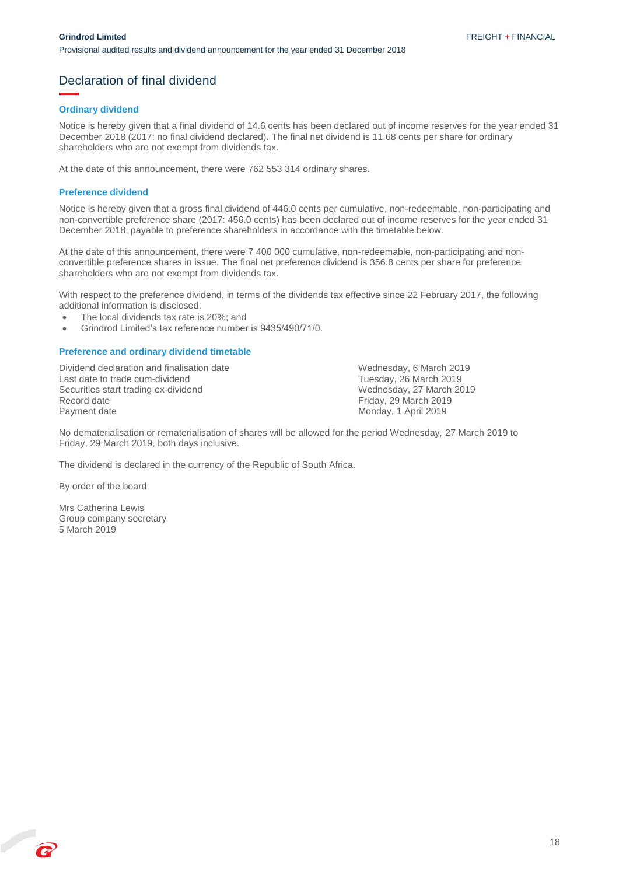### <span id="page-18-0"></span>Declaration of final dividend

#### **Ordinary dividend**

Notice is hereby given that a final dividend of 14.6 cents has been declared out of income reserves for the year ended 31 December 2018 (2017: no final dividend declared). The final net dividend is 11.68 cents per share for ordinary shareholders who are not exempt from dividends tax.

At the date of this announcement, there were 762 553 314 ordinary shares.

#### **Preference dividend**

Notice is hereby given that a gross final dividend of 446.0 cents per cumulative, non-redeemable, non-participating and non-convertible preference share (2017: 456.0 cents) has been declared out of income reserves for the year ended 31 December 2018, payable to preference shareholders in accordance with the timetable below.

At the date of this announcement, there were 7 400 000 cumulative, non-redeemable, non-participating and nonconvertible preference shares in issue. The final net preference dividend is 356.8 cents per share for preference shareholders who are not exempt from dividends tax.

With respect to the preference dividend, in terms of the dividends tax effective since 22 February 2017, the following additional information is disclosed:

- The local dividends tax rate is 20%; and
- Grindrod Limited's tax reference number is 9435/490/71/0.

#### **Preference and ordinary dividend timetable**

Dividend declaration and finalisation date Wednesday, 6 March 2019 Last date to trade cum-dividend<br>
Securities start trading ex-dividend<br>
Tuesday, 27 March 2019<br>
Wednesday, 27 March 2019 Securities start trading ex-dividend<br>Record date Record date Friday, 29 March 2019<br>
Payment date **Friday, 29 March 2019**<br>
Monday, 1 April 2019

Monday, 1 April 2019

No dematerialisation or rematerialisation of shares will be allowed for the period Wednesday, 27 March 2019 to Friday, 29 March 2019, both days inclusive.

The dividend is declared in the currency of the Republic of South Africa.

By order of the board

R

Mrs Catherina Lewis Group company secretary 5 March 2019